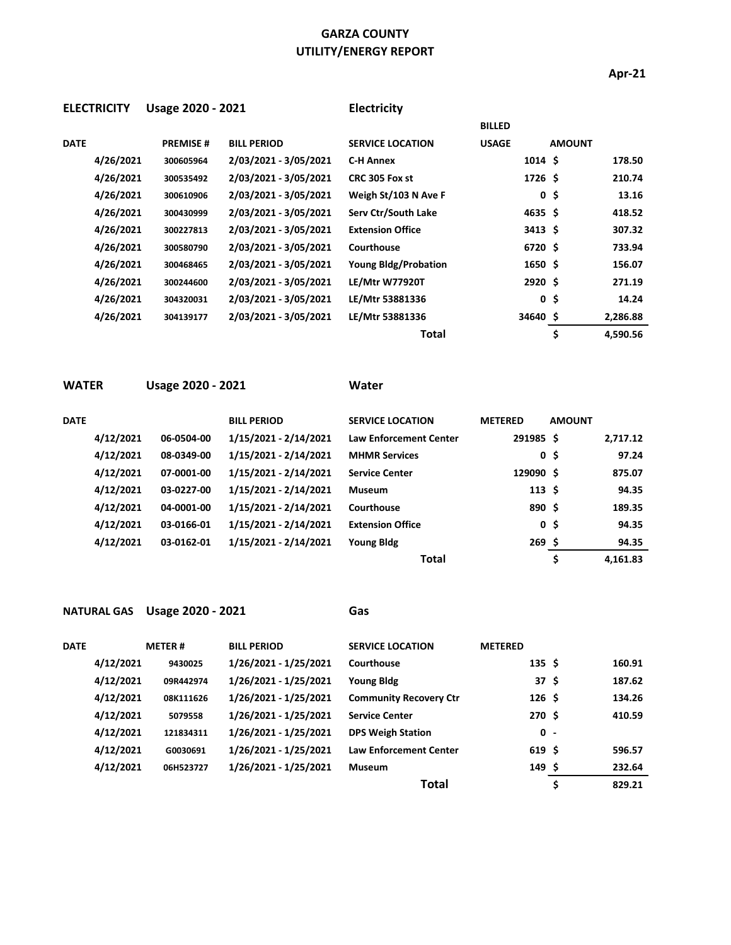## **GARZA COUNTY UTILITY/ENERGY REPORT**

**Apr-21**

| <b>ELECTRICITY</b> | Usage 2020 - 2021 |                       | Electricity                 |               |                |          |
|--------------------|-------------------|-----------------------|-----------------------------|---------------|----------------|----------|
|                    |                   |                       |                             | <b>BILLED</b> |                |          |
| <b>DATE</b>        | <b>PREMISE#</b>   | <b>BILL PERIOD</b>    | <b>SERVICE LOCATION</b>     | <b>USAGE</b>  | <b>AMOUNT</b>  |          |
| 4/26/2021          | 300605964         | 2/03/2021 - 3/05/2021 | <b>C-H Annex</b>            | $1014 \;$ \$  |                | 178.50   |
| 4/26/2021          | 300535492         | 2/03/2021 - 3/05/2021 | CRC 305 Fox st              | 1726 \$       |                | 210.74   |
| 4/26/2021          | 300610906         | 2/03/2021 - 3/05/2021 | Weigh St/103 N Ave F        |               | 0, 5           | 13.16    |
| 4/26/2021          | 300430999         | 2/03/2021 - 3/05/2021 | Serv Ctr/South Lake         | $4635$ \$     |                | 418.52   |
| 4/26/2021          | 300227813         | 2/03/2021 - 3/05/2021 | <b>Extension Office</b>     | $3413 \;$ \$  |                | 307.32   |
| 4/26/2021          | 300580790         | 2/03/2021 - 3/05/2021 | Courthouse                  | 6720 \$       |                | 733.94   |
| 4/26/2021          | 300468465         | 2/03/2021 - 3/05/2021 | <b>Young Bldg/Probation</b> | $1650 \;$ \$  |                | 156.07   |
| 4/26/2021          | 300244600         | 2/03/2021 - 3/05/2021 | <b>LE/Mtr W77920T</b>       | $2920 \;$ \$  |                | 271.19   |
| 4/26/2021          | 304320031         | 2/03/2021 - 3/05/2021 | LE/Mtr 53881336             |               | 0 <sup>5</sup> | 14.24    |
| 4/26/2021          | 304139177         | 2/03/2021 - 3/05/2021 | LE/Mtr 53881336             | 34640\$       |                | 2,286.88 |
|                    |                   |                       | Total                       |               | \$             | 4,590.56 |

**WATER Usage 2020 - 2021 Water**

| <b>DATE</b> |           |            | <b>BILL PERIOD</b>    | <b>SERVICE LOCATION</b>       | <b>METERED</b>   | <b>AMOUNT</b>  |          |
|-------------|-----------|------------|-----------------------|-------------------------------|------------------|----------------|----------|
|             | 4/12/2021 | 06-0504-00 | 1/15/2021 - 2/14/2021 | <b>Law Enforcement Center</b> | 291985 \$        |                | 2,717.12 |
|             | 4/12/2021 | 08-0349-00 | 1/15/2021 - 2/14/2021 | <b>MHMR Services</b>          |                  | 0 <sup>5</sup> | 97.24    |
|             | 4/12/2021 | 07-0001-00 | 1/15/2021 - 2/14/2021 | <b>Service Center</b>         | 129090 \$        |                | 875.07   |
|             | 4/12/2021 | 03-0227-00 | 1/15/2021 - 2/14/2021 | <b>Museum</b>                 | 113 <sup>5</sup> |                | 94.35    |
|             | 4/12/2021 | 04-0001-00 | 1/15/2021 - 2/14/2021 | Courthouse                    | 890 \$           |                | 189.35   |
|             | 4/12/2021 | 03-0166-01 | 1/15/2021 - 2/14/2021 | <b>Extension Office</b>       |                  | 0 <sup>5</sup> | 94.35    |
|             | 4/12/2021 | 03-0162-01 | 1/15/2021 - 2/14/2021 | <b>Young Bldg</b>             | $269$ \$         |                | 94.35    |
|             |           |            |                       | <b>Total</b>                  |                  | \$             | 4.161.83 |

## **NATURAL GAS Usage 2020 - 2021 Gas**

| DATE |           | <b>METER#</b> | <b>BILL PERIOD</b>    | <b>SERVICE LOCATION</b>       | <b>METERED</b>   |              |
|------|-----------|---------------|-----------------------|-------------------------------|------------------|--------------|
|      | 4/12/2021 | 9430025       | 1/26/2021 - 1/25/2021 | Courthouse                    | 135S             | 160.91       |
|      | 4/12/2021 | 09R442974     | 1/26/2021 - 1/25/2021 | <b>Young Bldg</b>             | 37 <sub>5</sub>  | 187.62       |
|      | 4/12/2021 | 08K111626     | 1/26/2021 - 1/25/2021 | <b>Community Recovery Ctr</b> | 126 <sup>5</sup> | 134.26       |
|      | 4/12/2021 | 5079558       | 1/26/2021 - 1/25/2021 | <b>Service Center</b>         | 270 \$           | 410.59       |
|      | 4/12/2021 | 121834311     | 1/26/2021 - 1/25/2021 | <b>DPS Weigh Station</b>      | $0 -$            |              |
|      | 4/12/2021 | G0030691      | 1/26/2021 - 1/25/2021 | <b>Law Enforcement Center</b> | 619S             | 596.57       |
|      | 4/12/2021 | 06H523727     | 1/26/2021 - 1/25/2021 | <b>Museum</b>                 | 149 \$           | 232.64       |
|      |           |               |                       | Total                         |                  | \$<br>829.21 |